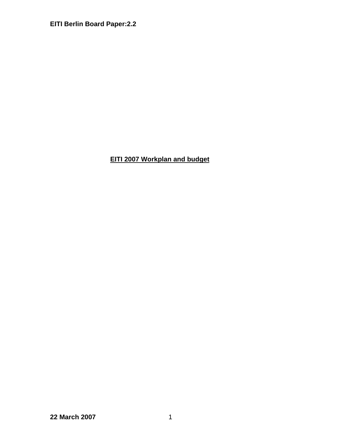# **EITI 2007 Workplan and budget**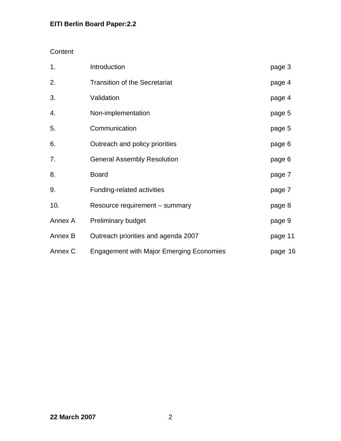## **Content**

| 1.      | Introduction                                    | page 3  |
|---------|-------------------------------------------------|---------|
| 2.      | <b>Transition of the Secretariat</b>            | page 4  |
| 3.      | Validation                                      | page 4  |
| 4.      | Non-implementation                              | page 5  |
| 5.      | Communication                                   | page 5  |
| 6.      | Outreach and policy priorities                  | page 6  |
| 7.      | <b>General Assembly Resolution</b>              | page 6  |
| 8.      | <b>Board</b>                                    | page 7  |
| 9.      | Funding-related activities                      | page 7  |
| 10.     | Resource requirement – summary                  | page 8  |
| Annex A | <b>Preliminary budget</b>                       | page 9  |
| Annex B | Outreach priorities and agenda 2007             | page 11 |
| Annex C | <b>Engagement with Major Emerging Economies</b> | page 16 |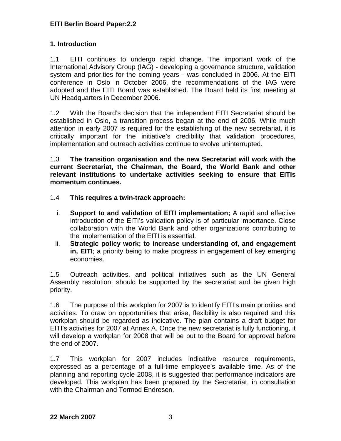## **1. Introduction**

1.1 EITI continues to undergo rapid change. The important work of the International Advisory Group (IAG) - developing a governance structure, validation system and priorities for the coming years - was concluded in 2006. At the EITI conference in Oslo in October 2006, the recommendations of the IAG were adopted and the EITI Board was established. The Board held its first meeting at UN Headquarters in December 2006.

1.2 With the Board's decision that the independent EITI Secretariat should be established in Oslo, a transition process began at the end of 2006. While much attention in early 2007 is required for the establishing of the new secretariat, it is critically important for the initiative's credibility that validation procedures, implementation and outreach activities continue to evolve uninterrupted.

1.3 **The transition organisation and the new Secretariat will work with the current Secretariat, the Chairman, the Board, the World Bank and other relevant institutions to undertake activities seeking to ensure that EITIs momentum continues.** 

- 1.4 **This requires a twin-track approach:** 
	- i. **Support to and validation of EITI implementation;** A rapid and effective introduction of the EITI's validation policy is of particular importance. Close collaboration with the World Bank and other organizations contributing to the implementation of the EITI is essential.
	- ii. **Strategic policy work; to increase understanding of, and engagement in, EITI**; a priority being to make progress in engagement of key emerging economies.

1.5 Outreach activities, and political initiatives such as the UN General Assembly resolution, should be supported by the secretariat and be given high priority.

1.6 The purpose of this workplan for 2007 is to identify EITI's main priorities and activities. To draw on opportunities that arise, flexibility is also required and this workplan should be regarded as indicative. The plan contains a draft budget for EITI's activities for 2007 at Annex A. Once the new secretariat is fully functioning, it will develop a workplan for 2008 that will be put to the Board for approval before the end of 2007.

1.7 This workplan for 2007 includes indicative resource requirements, expressed as a percentage of a full-time employee's available time. As of the planning and reporting cycle 2008, it is suggested that performance indicators are developed. This workplan has been prepared by the Secretariat, in consultation with the Chairman and Tormod Endresen.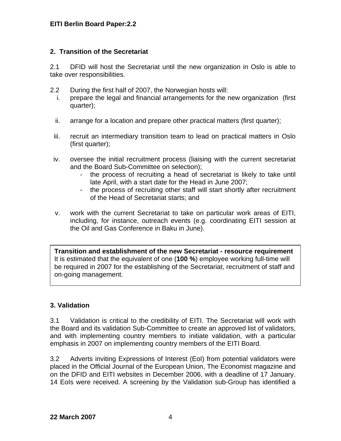### **2. Transition of the Secretariat**

2.1 DFID will host the Secretariat until the new organization in Oslo is able to take over responsibilities.

- 2.2 During the first half of 2007, the Norwegian hosts will:
	- i. prepare the legal and financial arrangements for the new organization (first quarter);
	- ii. arrange for a location and prepare other practical matters (first quarter);
- iii. recruit an intermediary transition team to lead on practical matters in Oslo (first quarter);
- iv. oversee the initial recruitment process (liaising with the current secretariat and the Board Sub-Committee on selection);
	- the process of recruiting a head of secretariat is likely to take until late April, with a start date for the Head in June 2007;
	- the process of recruiting other staff will start shortly after recruitment of the Head of Secretariat starts; and
- v. work with the current Secretariat to take on particular work areas of EITI, including, for instance, outreach events (e.g. coordinating EITI session at the Oil and Gas Conference in Baku in June).

**Transition and establishment of the new Secretariat - resource requirement**  It is estimated that the equivalent of one (**100 %**) employee working full-time will be required in 2007 for the establishing of the Secretariat, recruitment of staff and on-going management.

## **3. Validation**

3.1 Validation is critical to the credibility of EITI. The Secretariat will work with the Board and its validation Sub-Committee to create an approved list of validators, and with implementing country members to initiate validation, with a particular emphasis in 2007 on implementing country members of the EITI Board.

3.2 Adverts inviting Expressions of Interest (EoI) from potential validators were placed in the Official Journal of the European Union, The Economist magazine and on the DFID and EITI websites in December 2006, with a deadline of 17 January. 14 Eols were received. A screening by the Validation sub-Group has identified a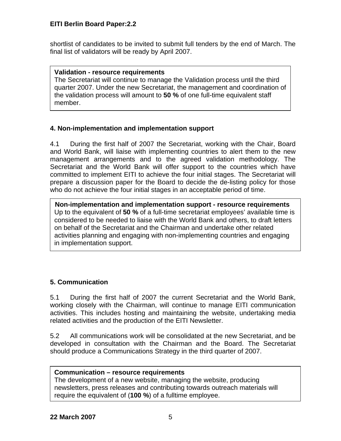shortlist of candidates to be invited to submit full tenders by the end of March. The final list of validators will be ready by April 2007.

#### **Validation - resource requirements**

The Secretariat will continue to manage the Validation process until the third quarter 2007. Under the new Secretariat, the management and coordination of the validation process will amount to **50 %** of one full-time equivalent staff member.

### **4. Non-implementation and implementation support**

4.1 During the first half of 2007 the Secretariat, working with the Chair, Board and World Bank, will liaise with implementing countries to alert them to the new management arrangements and to the agreed validation methodology. The Secretariat and the World Bank will offer support to the countries which have committed to implement EITI to achieve the four initial stages. The Secretariat will prepare a discussion paper for the Board to decide the de-listing policy for those who do not achieve the four initial stages in an acceptable period of time.

 **Non-implementation and implementation support - resource requirements**  Up to the equivalent of **50 %** of a full-time secretariat employees' available time is considered to be needed to liaise with the World Bank and others, to draft letters on behalf of the Secretariat and the Chairman and undertake other related activities planning and engaging with non-implementing countries and engaging in implementation support.

## **5. Communication**

5.1 During the first half of 2007 the current Secretariat and the World Bank, working closely with the Chairman, will continue to manage EITI communication activities. This includes hosting and maintaining the website, undertaking media related activities and the production of the EITI Newsletter.

5.2 All communications work will be consolidated at the new Secretariat, and be developed in consultation with the Chairman and the Board. The Secretariat should produce a Communications Strategy in the third quarter of 2007.

#### **Communication – resource requirements**

The development of a new website, managing the website, producing newsletters, press releases and contributing towards outreach materials will require the equivalent of (**100 %**) of a fulltime employee.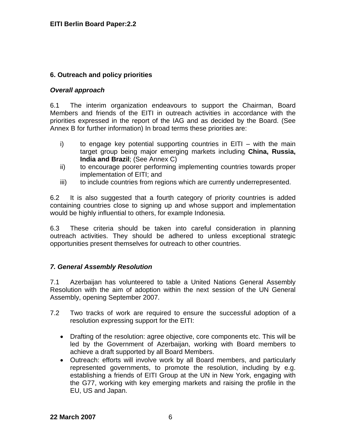## **6. Outreach and policy priorities**

### *Overall approach*

6.1 The interim organization endeavours to support the Chairman, Board Members and friends of the EITI in outreach activities in accordance with the priorities expressed in the report of the IAG and as decided by the Board. (See Annex B for further information) In broad terms these priorities are:

- i) to engage key potential supporting countries in EITI with the main target group being major emerging markets including **China, Russia, India and Brazil**; (See Annex C)
- ii) to encourage poorer performing implementing countries towards proper implementation of EITI; and
- iii) to include countries from regions which are currently underrepresented.

6.2 It is also suggested that a fourth category of priority countries is added containing countries close to signing up and whose support and implementation would be highly influential to others, for example Indonesia.

6.3 These criteria should be taken into careful consideration in planning outreach activities. They should be adhered to unless exceptional strategic opportunities present themselves for outreach to other countries.

## *7. General Assembly Resolution*

7.1 Azerbaijan has volunteered to table a United Nations General Assembly Resolution with the aim of adoption within the next session of the UN General Assembly, opening September 2007.

- 7.2 Two tracks of work are required to ensure the successful adoption of a resolution expressing support for the EITI:
	- Drafting of the resolution: agree objective, core components etc. This will be led by the Government of Azerbaijan, working with Board members to achieve a draft supported by all Board Members.
	- Outreach: efforts will involve work by all Board members, and particularly represented governments, to promote the resolution, including by e.g. establishing a friends of EITI Group at the UN in New York, engaging with the G77, working with key emerging markets and raising the profile in the EU, US and Japan.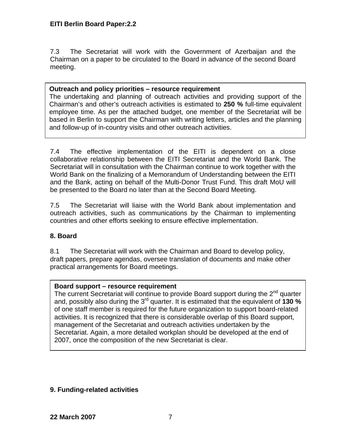7.3 The Secretariat will work with the Government of Azerbaijan and the Chairman on a paper to be circulated to the Board in advance of the second Board meeting.

### **Outreach and policy priorities – resource requirement**

The undertaking and planning of outreach activities and providing support of the  Chairman's and other's outreach activities is estimated to **250 %** full-time equivalent employee time. As per the attached budget, one member of the Secretariat will be based in Berlin to support the Chairman with writing letters, articles and the planning and follow-up of in-country visits and other outreach activities.

7.4 The effective implementation of the EITI is dependent on a close collaborative relationship between the EITI Secretariat and the World Bank. The Secretariat will in consultation with the Chairman continue to work together with the World Bank on the finalizing of a Memorandum of Understanding between the EITI and the Bank, acting on behalf of the Multi-Donor Trust Fund. This draft MoU will be presented to the Board no later than at the Second Board Meeting.

7.5 The Secretariat will liaise with the World Bank about implementation and outreach activities, such as communications by the Chairman to implementing countries and other efforts seeking to ensure effective implementation.

## **8. Board**

8.1 The Secretariat will work with the Chairman and Board to develop policy, draft papers, prepare agendas, oversee translation of documents and make other practical arrangements for Board meetings.

## **Board support – resource requirement**

The current Secretariat will continue to provide Board support during the  $2<sup>nd</sup>$  quarter and, possibly also during the 3<sup>rd</sup> quarter. It is estimated that the equivalent of **130 %** of one staff member is required for the future organization to support board-related activities. It is recognized that there is considerable overlap of this Board support, management of the Secretariat and outreach activities undertaken by the Secretariat. Again, a more detailed workplan should be developed at the end of 2007, once the composition of the new Secretariat is clear.

## **9. Funding-related activities**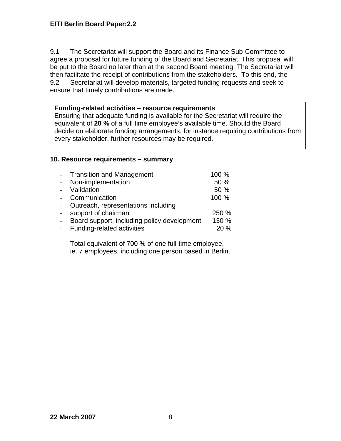9.1 The Secretariat will support the Board and its Finance Sub-Committee to agree a proposal for future funding of the Board and Secretariat. This proposal will be put to the Board no later than at the second Board meeting. The Secretariat will then facilitate the receipt of contributions from the stakeholders. To this end, the 9.2 Secretariat will develop materials, targeted funding requests and seek to ensure that timely contributions are made.

#### **Funding-related activities – resource requirements**

Ensuring that adequate funding is available for the Secretariat will require the equivalent of **20 %** of a full time employee's available time. Should the Board decide on elaborate funding arrangements, for instance requiring contributions from every stakeholder, further resources may be required.

#### **10. Resource requirements – summary**

| $\overline{a}$            | <b>Transition and Management</b>            | 100 % |
|---------------------------|---------------------------------------------|-------|
| $\mathbf{L}^{\text{max}}$ | Non-implementation                          | 50 %  |
|                           | - Validation                                | 50 %  |
|                           | - Communication                             | 100 % |
| $\overline{a}$            | Outreach, representations including         |       |
| $\mathbf{L}^{\text{max}}$ | support of chairman                         | 250 % |
| $\overline{a}$            | Board support, including policy development | 130 % |
| $\mathbf{L}^{\text{max}}$ | Funding-related activities                  | 20 %  |

Total equivalent of 700 % of one full-time employee, ie. 7 employees, including one person based in Berlin.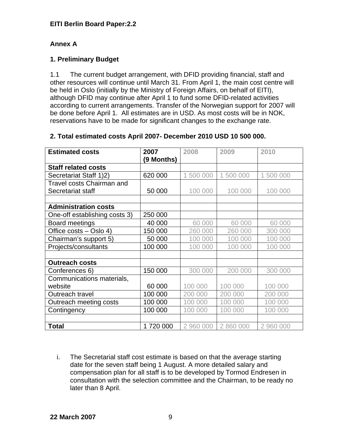## **Annex A**

## **1. Preliminary Budget**

1.1 The current budget arrangement, with DFID providing financial, staff and other resources will continue until March 31. From April 1, the main cost centre will be held in Oslo (initially by the Ministry of Foreign Affairs, on behalf of EITI), although DFID may continue after April 1 to fund some DFID-related activities according to current arrangements. Transfer of the Norwegian support for 2007 will be done before April 1. All estimates are in USD. As most costs will be in NOK, reservations have to be made for significant changes to the exchange rate.

| <b>Estimated costs</b>           | 2007       | 2008      | 2009      | 2010      |
|----------------------------------|------------|-----------|-----------|-----------|
|                                  | (9 Months) |           |           |           |
| <b>Staff related costs</b>       |            |           |           |           |
| Secretariat Staff 1)2)           | 620 000    | 1 500 000 | 1 500 000 | 1 500 000 |
| <b>Travel costs Chairman and</b> |            |           |           |           |
| Secretariat staff                | 50 000     | 100 000   | 100 000   | 100 000   |
|                                  |            |           |           |           |
| <b>Administration costs</b>      |            |           |           |           |
| One-off establishing costs 3)    | 250 000    |           |           |           |
| Board meetings                   | 40 000     | 60 000    | 60 000    | 60 000    |
| Office costs – Oslo 4)           | 150 000    | 260 000   | 260 000   | 300 000   |
| Chairman's support 5)            | 50 000     | 100 000   | 100 000   | 100 000   |
| Projects/consultants             | 100 000    | 100 000   | 100 000   | 100 000   |
|                                  |            |           |           |           |
| <b>Outreach costs</b>            |            |           |           |           |
| Conferences 6)                   | 150 000    | 300 000   | 200 000   | 300 000   |
| Communications materials,        |            |           |           |           |
| website                          | 60 000     | 100 000   | 100 000   | 100 000   |
| Outreach travel                  | 100 000    | 200 000   | 200 000   | 200 000   |
| Outreach meeting costs           | 100 000    | 100 000   | 100 000   | 100 000   |
| Contingency                      | 100 000    | 100 000   | 100 000   | 100 000   |
|                                  |            |           |           |           |
| <b>Total</b>                     | 1720 000   | 2 960 000 | 2 860 000 | 2 960 000 |

## **2. Total estimated costs April 2007- December 2010 USD 10 500 000.**

i. The Secretarial staff cost estimate is based on that the average starting date for the seven staff being 1 August. A more detailed salary and compensation plan for all staff is to be developed by Tormod Endresen in consultation with the selection committee and the Chairman, to be ready no later than 8 April.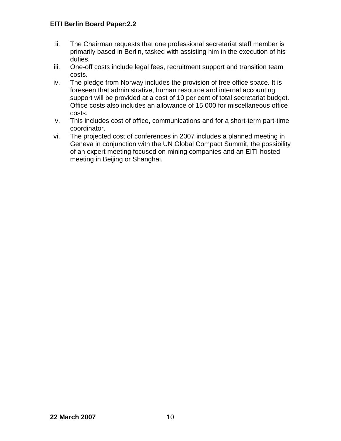- ii. The Chairman requests that one professional secretariat staff member is primarily based in Berlin, tasked with assisting him in the execution of his duties.
- iii. One-off costs include legal fees, recruitment support and transition team costs.
- iv. The pledge from Norway includes the provision of free office space. It is foreseen that administrative, human resource and internal accounting support will be provided at a cost of 10 per cent of total secretariat budget. Office costs also includes an allowance of 15 000 for miscellaneous office costs.
- v. This includes cost of office, communications and for a short-term part-time coordinator.
- vi. The projected cost of conferences in 2007 includes a planned meeting in Geneva in conjunction with the UN Global Compact Summit, the possibility of an expert meeting focused on mining companies and an EITI-hosted meeting in Beijing or Shanghai.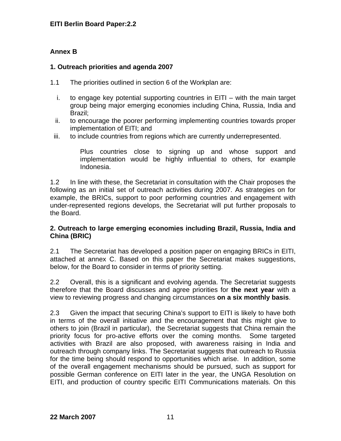## **Annex B**

### **1. Outreach priorities and agenda 2007**

- 1.1 The priorities outlined in section 6 of the Workplan are:
	- i. to engage key potential supporting countries in EITI with the main target group being major emerging economies including China, Russia, India and Brazil;
	- ii. to encourage the poorer performing implementing countries towards proper implementation of EITI; and
- iii. to include countries from regions which are currently underrepresented.

Plus countries close to signing up and whose support and implementation would be highly influential to others, for example Indonesia.

1.2 In line with these, the Secretariat in consultation with the Chair proposes the following as an initial set of outreach activities during 2007. As strategies on for example, the BRICs, support to poor performing countries and engagement with under-represented regions develops, the Secretariat will put further proposals to the Board.

### **2. Outreach to large emerging economies including Brazil, Russia, India and China (BRIC)**

2.1 The Secretariat has developed a position paper on engaging BRICs in EITI, attached at annex C. Based on this paper the Secretariat makes suggestions, below, for the Board to consider in terms of priority setting.

2.2 Overall, this is a significant and evolving agenda. The Secretariat suggests therefore that the Board discusses and agree priorities for **the next year** with a view to reviewing progress and changing circumstances **on a six monthly basis**.

2.3 Given the impact that securing China's support to EITI is likely to have both in terms of the overall initiative and the encouragement that this might give to others to join (Brazil in particular), the Secretariat suggests that China remain the priority focus for pro-active efforts over the coming months. Some targeted activities with Brazil are also proposed, with awareness raising in India and outreach through company links. The Secretariat suggests that outreach to Russia for the time being should respond to opportunities which arise. In addition, some of the overall engagement mechanisms should be pursued, such as support for possible German conference on EITI later in the year, the UNGA Resolution on EITI, and production of country specific EITI Communications materials. On this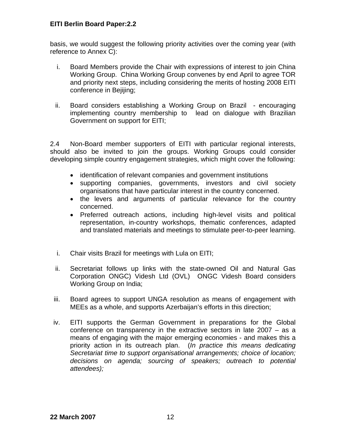basis, we would suggest the following priority activities over the coming year (with reference to Annex C):

- i. Board Members provide the Chair with expressions of interest to join China Working Group. China Working Group convenes by end April to agree TOR and priority next steps, including considering the merits of hosting 2008 EITI conference in Bejijing;
- ii. Board considers establishing a Working Group on Brazil encouraging implementing country membership to lead on dialogue with Brazilian Government on support for EITI;

2.4 Non-Board member supporters of EITI with particular regional interests, should also be invited to join the groups. Working Groups could consider developing simple country engagement strategies, which might cover the following:

- identification of relevant companies and government institutions
- supporting companies, governments, investors and civil society organisations that have particular interest in the country concerned.
- the levers and arguments of particular relevance for the country concerned.
- Preferred outreach actions, including high-level visits and political representation, in-country workshops, thematic conferences, adapted and translated materials and meetings to stimulate peer-to-peer learning.
- i. Chair visits Brazil for meetings with Lula on EITI;
- ii. Secretariat follows up links with the state-owned Oil and Natural Gas Corporation ONGC) Videsh Ltd (OVL) ONGC Videsh Board considers Working Group on India;
- iii. Board agrees to support UNGA resolution as means of engagement with MEEs as a whole, and supports Azerbaijan's efforts in this direction;
- iv. EITI supports the German Government in preparations for the Global conference on transparency in the extractive sectors in late 2007 – as a means of engaging with the major emerging economies - and makes this a priority action in its outreach plan. (*In practice this means dedicating Secretariat time to support organisational arrangements; choice of location; decisions on agenda; sourcing of speakers; outreach to potential attendees);*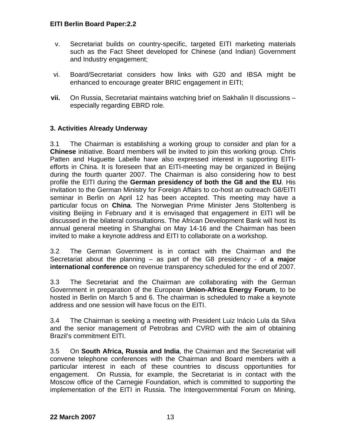- v. Secretariat builds on country-specific, targeted EITI marketing materials such as the Fact Sheet developed for Chinese (and Indian) Government and Industry engagement;
- vi. Board/Secretariat considers how links with G20 and IBSA might be enhanced to encourage greater BRIC engagement in EITI;
- **vii.** On Russia, Secretariat maintains watching brief on Sakhalin II discussions especially regarding EBRD role.

## **3. Activities Already Underway**

3.1 The Chairman is establishing a working group to consider and plan for a **Chinese** initiative. Board members will be invited to join this working group. Chris Patten and Huguette Labelle have also expressed interest in supporting EITIefforts in China. It is foreseen that an EITI-meeting may be organized in Beijing during the fourth quarter 2007. The Chairman is also considering how to best profile the EITI during the **German presidency of both the G8 and the EU**. His invitation to the German Ministry for Foreign Affairs to co-host an outreach G8/EITI seminar in Berlin on April 12 has been accepted. This meeting may have a particular focus on **China**. The Norwegian Prime Minister Jens Stoltenberg is visiting Beijing in February and it is envisaged that engagement in EITI will be discussed in the bilateral consultations. The African Development Bank will host its annual general meeting in Shanghai on May 14-16 and the Chairman has been invited to make a keynote address and EITI to collaborate on a workshop.

3.2 The German Government is in contact with the Chairman and the Secretariat about the planning – as part of the G8 presidency - of **a major international conference** on revenue transparency scheduled for the end of 2007.

3.3 The Secretariat and the Chairman are collaborating with the German Government in preparation of the European **Union-Africa Energy Forum**, to be hosted in Berlin on March 5 and 6. The chairman is scheduled to make a keynote address and one session will have focus on the EITI.

3.4 The Chairman is seeking a meeting with President Luiz Inácio Lula da Silva and the senior management of Petrobras and CVRD with the aim of obtaining Brazil's commitment EITI.

3.5 On **South Africa, Russia and India**, the Chairman and the Secretariat will convene telephone conferences with the Chairman and Board members with a particular interest in each of these countries to discuss opportunities for engagement. On Russia, for example, the Secretariat is in contact with the Moscow office of the Carnegie Foundation, which is committed to supporting the implementation of the EITI in Russia. The Intergovernmental Forum on Mining,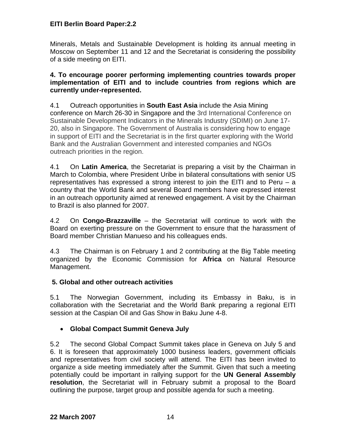Minerals, Metals and Sustainable Development is holding its annual meeting in Moscow on September 11 and 12 and the Secretariat is considering the possibility of a side meeting on EITI.

#### **4. To encourage poorer performing implementing countries towards proper implementation of EITI and to include countries from regions which are currently under-represented.**

4.1 Outreach opportunities in **South East Asia** include the Asia Mining conference on March 26-30 in Singapore and the 3rd International Conference on Sustainable Development Indicators in the Minerals Industry (SDIMI) on June 17- 20, also in Singapore. The Government of Australia is considering how to engage in support of EITI and the Secretariat is in the first quarter exploring with the World Bank and the Australian Government and interested companies and NGOs outreach priorities in the region.

4.1 On **Latin America**, the Secretariat is preparing a visit by the Chairman in March to Colombia, where President Uribe in bilateral consultations with senior US representatives has expressed a strong interest to join the EITI and to Peru – a country that the World Bank and several Board members have expressed interest in an outreach opportunity aimed at renewed engagement. A visit by the Chairman to Brazil is also planned for 2007.

4.2 On **Congo-Brazzaville** – the Secretariat will continue to work with the Board on exerting pressure on the Government to ensure that the harassment of Board member Christian Manueso and his colleagues ends.

4.3 The Chairman is on February 1 and 2 contributing at the Big Table meeting organized by the Economic Commission for **Africa** on Natural Resource Management.

## **5. Global and other outreach activities**

5.1 The Norwegian Government, including its Embassy in Baku, is in collaboration with the Secretariat and the World Bank preparing a regional EITI session at the Caspian Oil and Gas Show in Baku June 4-8.

## • **Global Compact Summit Geneva July**

5.2 The second Global Compact Summit takes place in Geneva on July 5 and 6. It is foreseen that approximately 1000 business leaders, government officials and representatives from civil society will attend. The EITI has been invited to organize a side meeting immediately after the Summit. Given that such a meeting potentially could be important in rallying support for the **UN General Assembly resolution**, the Secretariat will in February submit a proposal to the Board outlining the purpose, target group and possible agenda for such a meeting.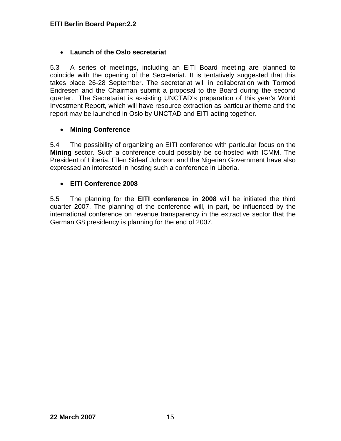## • **Launch of the Oslo secretariat**

5.3 A series of meetings, including an EITI Board meeting are planned to coincide with the opening of the Secretariat. It is tentatively suggested that this takes place 26-28 September. The secretariat will in collaboration with Tormod Endresen and the Chairman submit a proposal to the Board during the second quarter. The Secretariat is assisting UNCTAD's preparation of this year's World Investment Report, which will have resource extraction as particular theme and the report may be launched in Oslo by UNCTAD and EITI acting together.

## • **Mining Conference**

5.4 The possibility of organizing an EITI conference with particular focus on the **Mining** sector. Such a conference could possibly be co-hosted with ICMM. The President of Liberia, Ellen Sirleaf Johnson and the Nigerian Government have also expressed an interested in hosting such a conference in Liberia.

## • **EITI Conference 2008**

5.5 The planning for the **EITI conference in 2008** will be initiated the third quarter 2007. The planning of the conference will, in part, be influenced by the international conference on revenue transparency in the extractive sector that the German G8 presidency is planning for the end of 2007.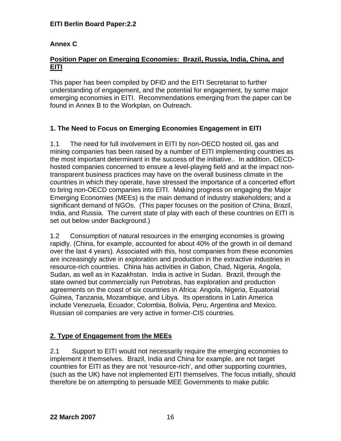## **Annex C**

### **Position Paper on Emerging Economies: Brazil, Russia, India, China, and EITI**

This paper has been compiled by DFID and the EITI Secretariat to further understanding of engagement, and the potential for engagement, by some major emerging economies in EITI. Recommendations emerging from the paper can be found in Annex B to the Workplan, on Outreach.

## **1. The Need to Focus on Emerging Economies Engagement in EITI**

1.1 The need for full involvement in EITI by non-OECD hosted oil, gas and mining companies has been raised by a number of EITI implementing countries as the most important determinant in the success of the initiative.. In addition, OECDhosted companies concerned to ensure a level-playing field and at the impact nontransparent business practices may have on the overall business climate in the countries in which they operate, have stressed the importance of a concerted effort to bring non-OECD companies into EITI. Making progress on engaging the Major Emerging Economies (MEEs) is the main demand of industry stakeholders; and a significant demand of NGOs. (This paper focuses on the position of China, Brazil, India, and Russia. The current state of play with each of these countries on EITI is set out below under Background.)

1.2 Consumption of natural resources in the emerging economies is growing rapidly. (China, for example, accounted for about 40% of the growth in oil demand over the last 4 years). Associated with this, host companies from these economies are increasingly active in exploration and production in the extractive industries in resource-rich countries. China has activities in Gabon, Chad, Nigeria, Angola, Sudan, as well as in Kazakhstan. India is active in Sudan. Brazil, through the state owned but commercially run Petrobras, has exploration and production agreements on the coast of six countries in Africa: Angola, Nigeria, Equatorial Guinea, Tanzania, Mozambique, and Libya. Its operations in Latin America include Venezuela, Ecuador, Colombia, Bolivia, Peru, Argentina and Mexico. Russian oil companies are very active in former-CIS countries.

## **2. Type of Engagement from the MEEs**

2.1 Support to EITI would not necessarily require the emerging economies to implement it themselves. Brazil, India and China for example, are not target countries for EITI as they are not 'resource-rich', and other supporting countries, (such as the UK) have not implemented EITI themselves. The focus initially, should therefore be on attempting to persuade MEE Governments to make public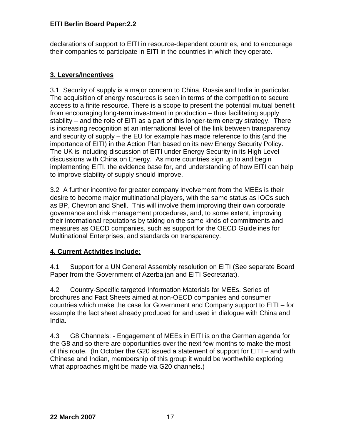declarations of support to EITI in resource-dependent countries, and to encourage their companies to participate in EITI in the countries in which they operate.

## **3. Levers/Incentives**

3.1 Security of supply is a major concern to China, Russia and India in particular. The acquisition of energy resources is seen in terms of the competition to secure access to a finite resource. There is a scope to present the potential mutual benefit from encouraging long-term investment in production – thus facilitating supply stability – and the role of EITI as a part of this longer-term energy strategy. There is increasing recognition at an international level of the link between transparency and security of supply – the EU for example has made reference to this (and the importance of EITI) in the Action Plan based on its new Energy Security Policy. The UK is including discussion of EITI under Energy Security in its High Level discussions with China on Energy. As more countries sign up to and begin implementing EITI, the evidence base for, and understanding of how EITI can help to improve stability of supply should improve.

3.2 A further incentive for greater company involvement from the MEEs is their desire to become major multinational players, with the same status as IOCs such as BP, Chevron and Shell. This will involve them improving their own corporate governance and risk management procedures, and, to some extent, improving their international reputations by taking on the same kinds of commitments and measures as OECD companies, such as support for the OECD Guidelines for Multinational Enterprises, and standards on transparency.

## **4. Current Activities Include:**

4.1 Support for a UN General Assembly resolution on EITI (See separate Board Paper from the Government of Azerbaijan and EITI Secretariat).

4.2 Country-Specific targeted Information Materials for MEEs. Series of brochures and Fact Sheets aimed at non-OECD companies and consumer countries which make the case for Government and Company support to EITI – for example the fact sheet already produced for and used in dialogue with China and India.

4.3 G8 Channels: - Engagement of MEEs in EITI is on the German agenda for the G8 and so there are opportunities over the next few months to make the most of this route. (In October the G20 issued a statement of support for EITI – and with Chinese and Indian, membership of this group it would be worthwhile exploring what approaches might be made via G20 channels.)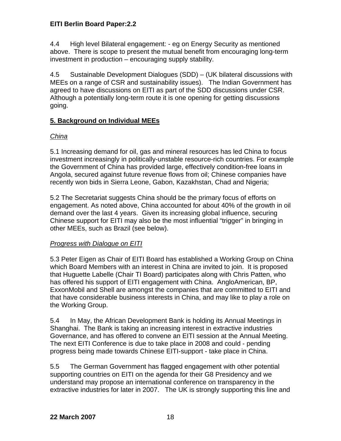4.4 High level Bilateral engagement: - eg on Energy Security as mentioned above. There is scope to present the mutual benefit from encouraging long-term investment in production – encouraging supply stability.

4.5 Sustainable Development Dialogues (SDD) – (UK bilateral discussions with MEEs on a range of CSR and sustainability issues). The Indian Government has agreed to have discussions on EITI as part of the SDD discussions under CSR. Although a potentially long-term route it is one opening for getting discussions going.

## **5. Background on Individual MEEs**

## *China*

5.1 Increasing demand for oil, gas and mineral resources has led China to focus investment increasingly in politically-unstable resource-rich countries. For example the Government of China has provided large, effectively condition-free loans in Angola, secured against future revenue flows from oil; Chinese companies have recently won bids in Sierra Leone, Gabon, Kazakhstan, Chad and Nigeria;

5.2 The Secretariat suggests China should be the primary focus of efforts on engagement. As noted above, China accounted for about 40% of the growth in oil demand over the last 4 years. Given its increasing global influence, securing Chinese support for EITI may also be the most influential "trigger" in bringing in other MEEs, such as Brazil (see below).

## *Progress with Dialogue on EITI*

5.3 Peter Eigen as Chair of EITI Board has established a Working Group on China which Board Members with an interest in China are invited to join. It is proposed that Huguette Labelle (Chair TI Board) participates along with Chris Patten, who has offered his support of EITI engagement with China. AngloAmerican, BP, ExxonMobil and Shell are amongst the companies that are committed to EITI and that have considerable business interests in China, and may like to play a role on the Working Group.

5.4 In May, the African Development Bank is holding its Annual Meetings in Shanghai. The Bank is taking an increasing interest in extractive industries Governance, and has offered to convene an EITI session at the Annual Meeting. The next EITI Conference is due to take place in 2008 and could - pending progress being made towards Chinese EITI-support - take place in China.

5.5 The German Government has flagged engagement with other potential supporting countries on EITI on the agenda for their G8 Presidency and we understand may propose an international conference on transparency in the extractive industries for later in 2007. The UK is strongly supporting this line and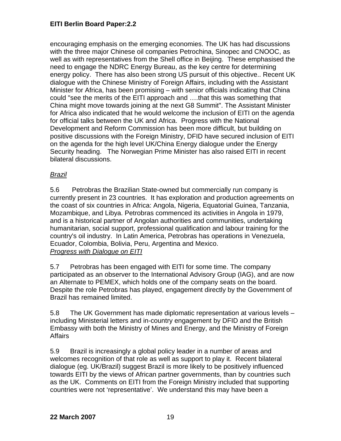encouraging emphasis on the emerging economies. The UK has had discussions with the three major Chinese oil companies Petrochina, Sinopec and CNOOC, as well as with representatives from the Shell office in Beijing. These emphasised the need to engage the NDRC Energy Bureau, as the key centre for determining energy policy. There has also been strong US pursuit of this objective.. Recent UK dialogue with the Chinese Ministry of Foreign Affairs, including with the Assistant Minister for Africa, has been promising – with senior officials indicating that China could "see the merits of the EITI approach and ….that this was something that China might move towards joining at the next G8 Summit". The Assistant Minister for Africa also indicated that he would welcome the inclusion of EITI on the agenda for official talks between the UK and Africa. Progress with the National Development and Reform Commission has been more difficult, but building on positive discussions with the Foreign Ministry, DFID have secured inclusion of EITI on the agenda for the high level UK/China Energy dialogue under the Energy Security heading. The Norwegian Prime Minister has also raised EITI in recent bilateral discussions.

## *Brazil*

5.6 Petrobras the Brazilian State-owned but commercially run company is currently present in 23 countries. It has exploration and production agreements on the coast of six countries in Africa: Angola, Nigeria, Equatorial Guinea, Tanzania, Mozambique, and Libya. Petrobras commenced its activities in Angola in 1979, and is a historical partner of Angolan authorities and communities, undertaking humanitarian, social support, professional qualification and labour training for the country's oil industry. In Latin America, Petrobras has operations in Venezuela, Ecuador, Colombia, Bolivia, Peru, Argentina and Mexico. *Progress with Dialogue on EITI*

5.7 Petrobras has been engaged with EITI for some time. The company participated as an observer to the International Advisory Group (IAG), and are now an Alternate to PEMEX, which holds one of the company seats on the board. Despite the role Petrobras has played, engagement directly by the Government of Brazil has remained limited.

5.8 The UK Government has made diplomatic representation at various levels – including Ministerial letters and in-country engagement by DFID and the British Embassy with both the Ministry of Mines and Energy, and the Ministry of Foreign **Affairs** 

5.9 Brazil is increasingly a global policy leader in a number of areas and welcomes recognition of that role as well as support to play it. Recent bilateral dialogue (eg. UK/Brazil) suggest Brazil is more likely to be positively influenced towards EITI by the views of African partner governments, than by countries such as the UK. Comments on EITI from the Foreign Ministry included that supporting countries were not 'representative'. We understand this may have been a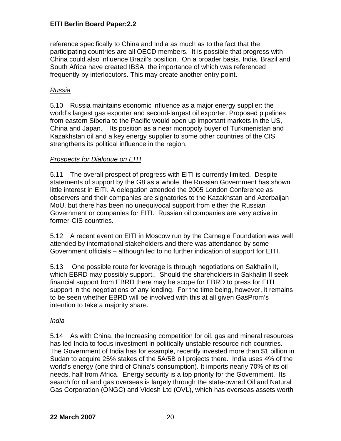reference specifically to China and India as much as to the fact that the participating countries are all OECD members. It is possible that progress with China could also influence Brazil's position. On a broader basis, India, Brazil and South Africa have created IBSA, the importance of which was referenced frequently by interlocutors. This may create another entry point.

## *Russia*

5.10 Russia maintains economic influence as a major energy supplier: the world's largest gas exporter and second-largest oil exporter. Proposed pipelines from eastern Siberia to the Pacific would open up important markets in the US, China and Japan. Its position as a near monopoly buyer of Turkmenistan and Kazakhstan oil and a key energy supplier to some other countries of the CIS, strengthens its political influence in the region.

## *Prospects for Dialogue on EITI*

5.11 The overall prospect of progress with EITI is currently limited. Despite statements of support by the G8 as a whole, the Russian Government has shown little interest in EITI. A delegation attended the 2005 London Conference as observers and their companies are signatories to the Kazakhstan and Azerbaijan MoU, but there has been no unequivocal support from either the Russian Government or companies for EITI. Russian oil companies are very active in former-CIS countries.

5.12 A recent event on EITI in Moscow run by the Carnegie Foundation was well attended by international stakeholders and there was attendance by some Government officials – although led to no further indication of support for EITI.

5.13 One possible route for leverage is through negotiations on Sakhalin II, which EBRD may possibly support.. Should the shareholders in Sakhalin II seek financial support from EBRD there may be scope for EBRD to press for EITI support in the negotiations of any lending. For the time being, however, it remains to be seen whether EBRD will be involved with this at all given GasProm's intention to take a majority share.

## *India*

5.14 As with China, the Increasing competition for oil, gas and mineral resources has led India to focus investment in politically-unstable resource-rich countries. The Government of India has for example, recently invested more than \$1 billion in Sudan to acquire 25% stakes of the 5A/5B oil projects there. India uses 4% of the world's energy (one third of China's consumption). It imports nearly 70% of its oil needs, half from Africa. Energy security is a top priority for the Government. Its search for oil and gas overseas is largely through the state-owned Oil and Natural Gas Corporation (ONGC) and Videsh Ltd (OVL), which has overseas assets worth